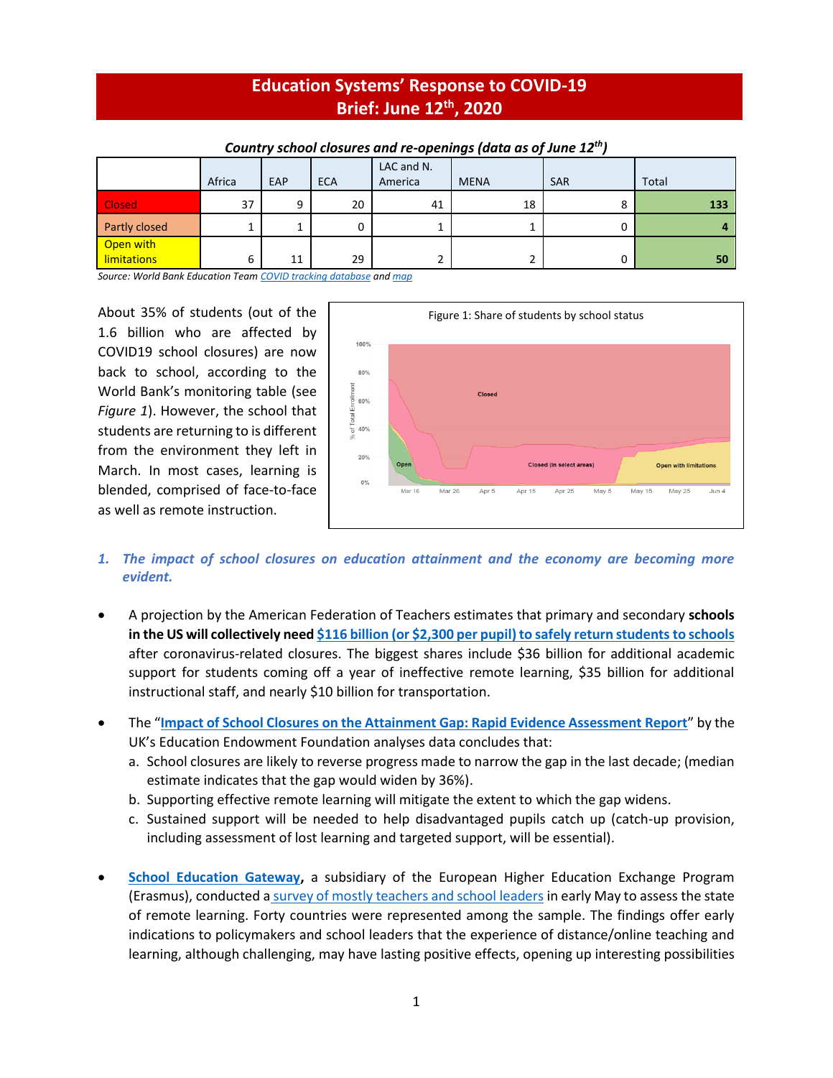# **Education Systems' Response to COVID-19 Brief: June 12 th, 2020**

|                    |        |     |            | LAC and N. |             |            |       |
|--------------------|--------|-----|------------|------------|-------------|------------|-------|
|                    | Africa | EAP | <b>ECA</b> | America    | <b>MENA</b> | <b>SAR</b> | Total |
| Closed             | 37     | 9   | 20         | 41         | 18          |            | 133   |
| Partly closed      |        |     |            | ∸          |             |            |       |
| Open with          |        |     |            |            |             |            |       |
| <b>limitations</b> | 6      | 11  | 29         | 2          |             |            | 50    |

#### *Country school closures and re-openings (data as of June 12 th)*

*Source: World Bank Education Tea[m COVID tracking database](https://worldbankgroup-my.sharepoint.com/:x:/g/personal/tshmis_worldbank_org/EehfzqvLAm5CkGYQliGgCRQBmZg3meDaj5ZnpU4URJDX-g?e=bg0hMT) an[d map](https://tab.worldbank.org/#/site/WBG/views/covid19/dsh_simple?:showAppBanner=false&:display_count=n&:showVizHome=n&:origin=viz_share_link&:iid=1)*

About 35% of students (out of the 1.6 billion who are affected by COVID19 school closures) are now back to school, according to the World Bank's monitoring table (see *Figure 1*). However, the school that students are returning to is different from the environment they left in March. In most cases, learning is blended, comprised of face-to-face as well as remote instruction.



# *1. The impact of school closures on education attainment and the economy are becoming more evident.*

- A projection by the American Federation of Teachers estimates that primary and secondary **schools in the US will collectively nee[d \\$116 billion \(or \\$2,300 per pupil\) to safely return students to schools](https://www.usnews.com/news/education-news/articles/2020-06-09/new-estimate-to-reopen-schools-after-coronavirus-1165-billion)** after coronavirus-related closures. The biggest shares include \$36 billion for additional academic support for students coming off a year of ineffective remote learning, \$35 billion for additional instructional staff, and nearly \$10 billion for transportation.
- The "**[Impact of School Closures on the Attainment Gap: Rapid Evidence Assessment Report](https://educationendowmentfoundation.org.uk/public/files/EEF_(2020)_-_Impact_of_School_Closures_on_the_Attainment_Gap.pdf)**" by the UK's Education Endowment Foundation analyses data concludes that:
	- a. School closures are likely to reverse progress made to narrow the gap in the last decade; (median estimate indicates that the gap would widen by 36%).
	- b. Supporting effective remote learning will mitigate the extent to which the gap widens.
	- c. Sustained support will be needed to help disadvantaged pupils catch up (catch-up provision, including assessment of lost learning and targeted support, will be essential).
- **[School Education Gateway,](https://www.schooleducationgateway.eu/en/pub/index.htm)** a subsidiary of the European Higher Education Exchange Program (Erasmus), conducted a survey of mostly [teachers and school leaders](https://www.schooleducationgateway.eu/en/pub/viewpoints/surveys/survey-on-online-teaching.htm) in early May to assess the state of remote learning. Forty countries were represented among the sample. The findings offer early indications to policymakers and school leaders that the experience of distance/online teaching and learning, although challenging, may have lasting positive effects, opening up interesting possibilities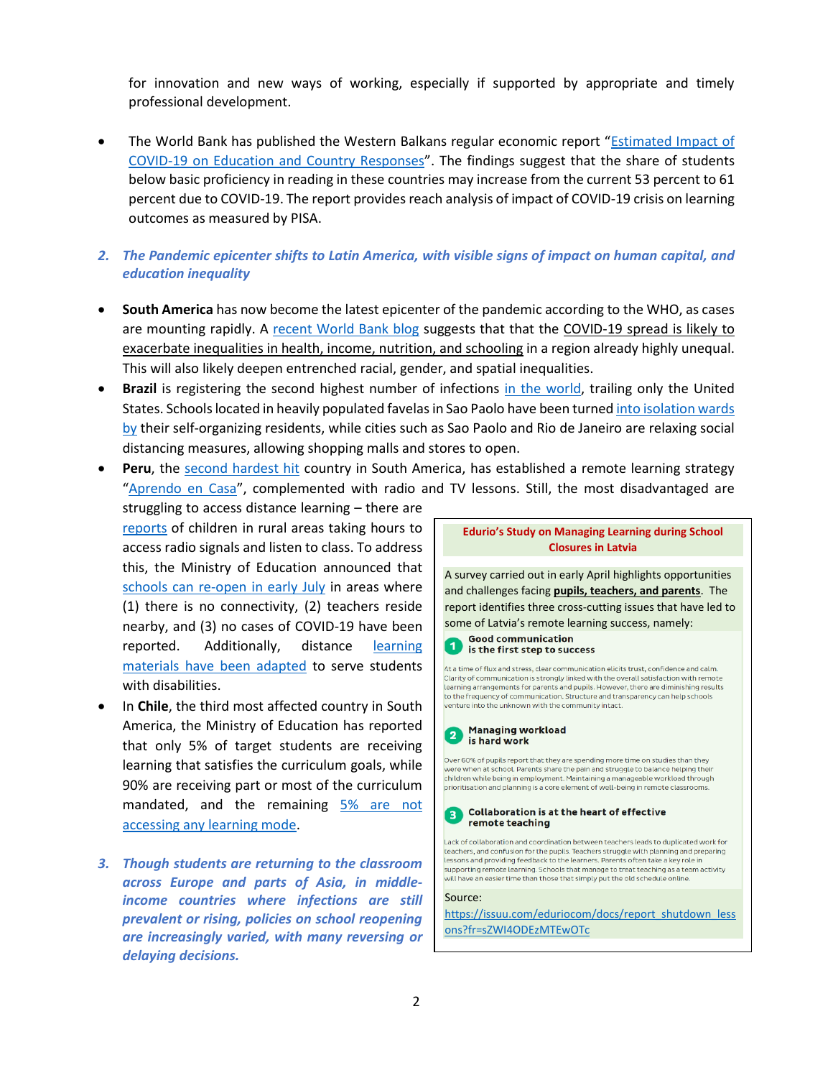for innovation and new ways of working, especially if supported by appropriate and timely professional development.

- The World Bank has published the Western Balkans regular economic report "Estimated Impact of [COVID-19 on Education and Country Responses](http://documents.worldbank.org/curated/en/590751590682058272/pdf/The-Economic-and-Social-Impact-of-COVID-19-Education.pdf)". The findings suggest that the share of students below basic proficiency in reading in these countries may increase from the current 53 percent to 61 percent due to COVID-19. The report provides reach analysis of impact of COVID-19 crisis on learning outcomes as measured by PISA.
- *2. The Pandemic epicenter shifts to Latin America, with visible signs of impact on human capital, and education inequality*
- **South America** has now become the latest epicenter of the pandemic according to the WHO, as cases are mounting rapidly. A [recent World Bank blog](https://blogs.worldbank.org/developmenttalk/covid-19-latin-america-pandemic-meets-extreme-inequality) suggests that that the COVID-19 spread is likely to exacerbate inequalities in health, income, nutrition, and schooling in a region already highly unequal. This will also likely deepen entrenched racial, gender, and spatial inequalities.
- **Brazil** is registering the second highest number of infections [in the world,](https://coronavirus.jhu.edu/map.html) trailing only the United States. Schools located in heavily populated favelas in Sao Paolo have been turne[d into isolation wards](https://www.washingtonpost.com/world/the_americas/coronavirus-brazil-favela-sao-paulo-rio-janeiro-bolsonaro/2020/06/09/8b03eee0-aa74-11ea-9063-e69bd6520940_story.html)  [by](https://www.washingtonpost.com/world/the_americas/coronavirus-brazil-favela-sao-paulo-rio-janeiro-bolsonaro/2020/06/09/8b03eee0-aa74-11ea-9063-e69bd6520940_story.html) their self-organizing residents, while cities such as Sao Paolo and Rio de Janeiro are relaxing social distancing measures, allowing shopping malls and stores to open.
- **Peru**, the [second hardest hit](https://www.ft.com/content/53c858cb-1c8b-4a14-bcb3-8948a5794db2) country in South America, has established a remote learning strategy "[Aprendo en Casa](https://aprendoencasa.pe/#/)", complemented with radio and TV lessons. Still, the most disadvantaged are
- struggling to access distance learning there are [reports](https://www.youtube.com/watch?v=Sd9gucC8toM) of children in rural areas taking hours to access radio signals and listen to class. To address this, the Ministry of Education announced that [schools can re-open in early July](https://gestion.pe/peru/minedu-plantea-reabrir-colegios-en-zonas-donde-no-haya-conectividad-ni-contagios-de-covid-19-a-inicios-de-julio-nndc-noticia/) in areas where (1) there is no connectivity, (2) teachers reside nearby, and (3) no cases of COVID-19 have been reported. Additionally, distance [learning](https://www.gob.pe/institucion/minedu/noticias/185105-aprendo-en-casa-tambien-llega-a-estudiantes-con-necesidades-educativas-especiales-asociadas-a-discapacidad)  materials have [been adapted](https://www.gob.pe/institucion/minedu/noticias/185105-aprendo-en-casa-tambien-llega-a-estudiantes-con-necesidades-educativas-especiales-asociadas-a-discapacidad) to serve students with disabilities.
- In **Chile**, the third most affected country in South America, the Ministry of Education has reported that only 5% of target students are receiving learning that satisfies the curriculum goals, while 90% are receiving part or most of the curriculum mandated, and the remaining [5% are not](https://www.latercera.com/nacional/noticia/reporte-de-chile-a-la-ocde-indica-que-el-5-de-los-ninos-no-recibe-ensenanza-minima/AU6DAN2VBFBFDKWJMJB6ZUTYQ4/)  [accessing any learning mode.](https://www.latercera.com/nacional/noticia/reporte-de-chile-a-la-ocde-indica-que-el-5-de-los-ninos-no-recibe-ensenanza-minima/AU6DAN2VBFBFDKWJMJB6ZUTYQ4/)
- *3. Though students are returning to the classroom across Europe and parts of Asia, in middleincome countries where infections are still prevalent or rising, policies on school reopening are increasingly varied, with many reversing or delaying decisions.*

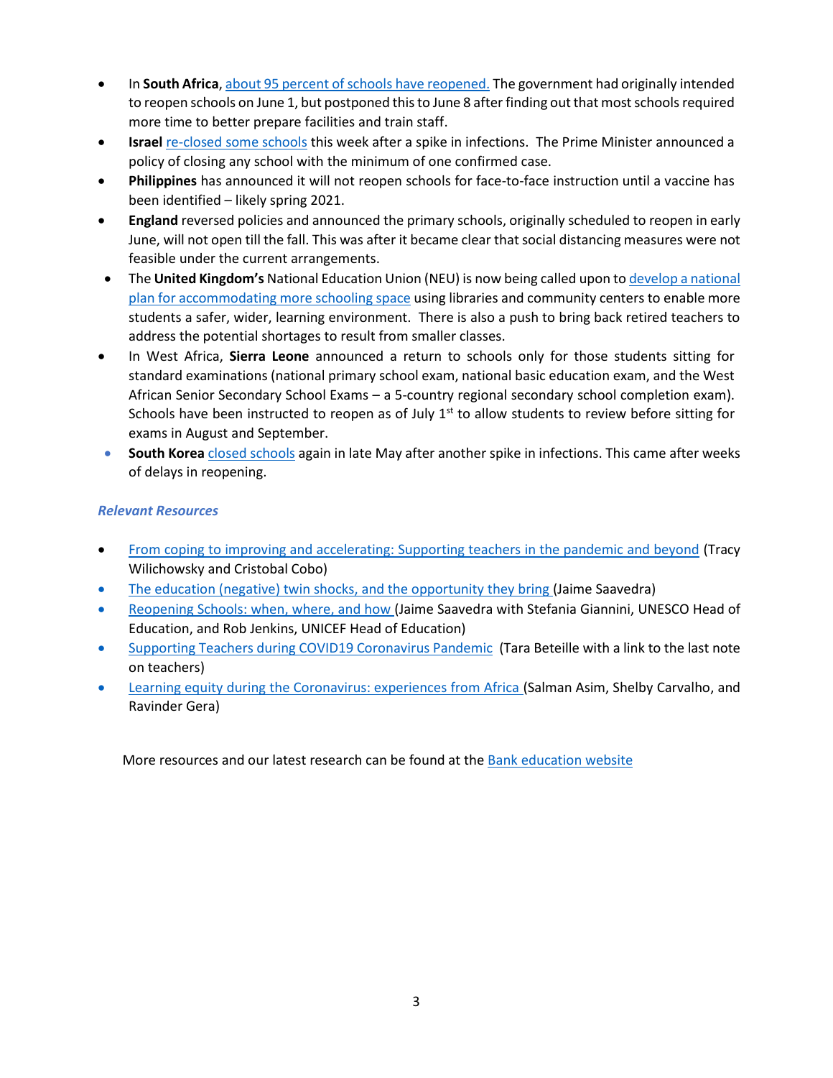- In **South Africa**[, about 95 percent of schools have reopened.](https://www.africanews.com/2020/06/10/95-percent-of-schools-reopen-in-south-africa-after-virus-lockdown/) The government had originally intended to reopen schools on June 1, but postponed this to June 8 after finding out that most schools required more time to better prepare facilities and train staff.
- **Israel** re-closed [some schools](https://www.wsj.com/articles/israel-shuts-some-schools-as-coronavirus-cases-jump-after-reopening-11591203323) this week after a spike in infections. The Prime Minister announced a policy of closing any school with the minimum of one confirmed case.
- **Philippines** has announced it will not reopen schools for face-to-face instruction until a vaccine has been identified – likely spring 2021.
- **England** reversed policies and announced the primary schools, originally scheduled to reopen in early June, will not open till the fall. This was after it became clear that social distancing measures were not feasible under the current arrangements.
- The **United Kingdom's** National Education Union (NEU) is now being called upon t[o develop a national](https://www.tes.com/news/coronavirus-national-plan-needed-more-school-space-say-teachers)  [plan for accommodating more schooling space](https://www.tes.com/news/coronavirus-national-plan-needed-more-school-space-say-teachers) using libraries and community centers to enable more students a safer, wider, learning environment. There is also a push to bring back retired teachers to address the potential shortages to result from smaller classes.
- In West Africa, **Sierra Leone** announced a return to schools only for those students sitting for standard examinations (national primary school exam, national basic education exam, and the West African Senior Secondary School Exams – a 5-country regional secondary school completion exam). Schools have been instructed to reopen as of July  $1<sup>st</sup>$  to allow students to review before sitting for exams in August and September.
- **South Korea** [closed schools](https://www.bbc.com/news/world-asia-52845015) again in late May after another spike in infections. This came after weeks of delays in reopening.

## *Relevant Resources*

- [From coping to improving and accelerating: Supporting teachers in the pandemic and beyond](https://blogs.worldbank.org/education/coping-improving-and-accelerating-supporting-teachers-pandemic-and-beyond) (Tracy Wilichowsky and Cristobal Cobo)
- [The education \(negative\) twin shocks, and the opportunity they bring](https://blogs.worldbank.org/education/education-negative-twin-shocks-and-opportunity-they-bring) (Jaime Saavedra)
- [Reopening Schools: when, where, and how](https://blogs.worldbank.org/education/reopening-schools-when-where-and-how) (Jaime Saavedra with Stefania Giannini, UNESCO Head of Education, and Rob Jenkins, UNICEF Head of Education)
- [Supporting Teachers during COVID19 Coronavirus Pandemic](https://blogs.worldbank.org/education/supporting-teachers-during-covid-19-coronavirus-pandemic) (Tara Beteille with a link to the last note on teachers)
- [Learning equity during the Coronavirus: experiences from Africa](https://blogs.worldbank.org/education/learning-equity-during-coronavirus-experiences-africa) (Salman Asim, Shelby Carvalho, and Ravinder Gera)

More resources and our latest research can be found at th[e Bank education website](https://worldbankgroup.sharepoint.com/sites/Education/Pages/Education-COVID19.aspx)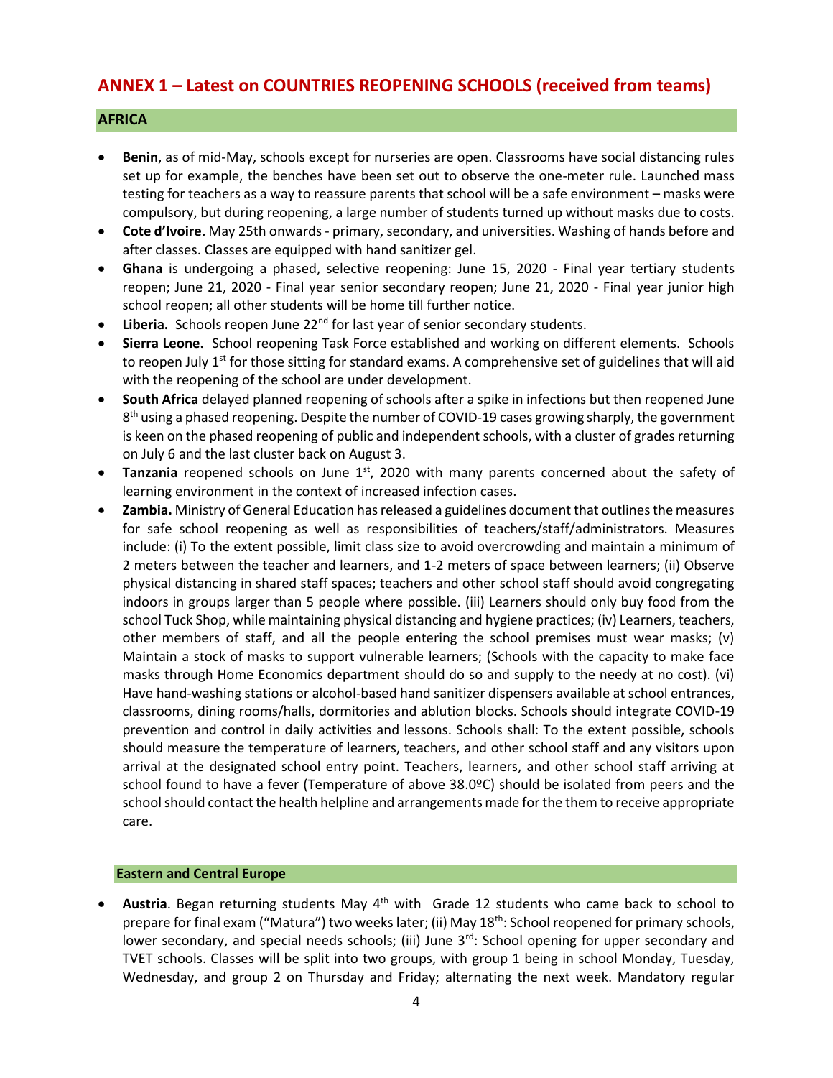# **ANNEX 1 – Latest on COUNTRIES REOPENING SCHOOLS (received from teams)**

### **AFRICA**

- **Benin**, as of mid-May, schools except for nurseries are open. Classrooms have social distancing rules set up for example, the benches have been set out to observe the one-meter rule. Launched mass testing for teachers as a way to reassure parents that school will be a safe environment – masks were compulsory, but during reopening, a large number of students turned up without masks due to costs.
- **Cote d'Ivoire.** May 25th onwards primary, secondary, and universities. Washing of hands before and after classes. Classes are equipped with hand sanitizer gel.
- **Ghana** is undergoing a phased, selective reopening: June 15, 2020 Final year tertiary students reopen; June 21, 2020 - Final year senior secondary reopen; June 21, 2020 - Final year junior high school reopen; all other students will be home till further notice.
- Liberia. Schools reopen June 22<sup>nd</sup> for last year of senior secondary students.
- **Sierra Leone.** School reopening Task Force established and working on different elements. Schools to reopen July 1<sup>st</sup> for those sitting for standard exams. A comprehensive set of guidelines that will aid with the reopening of the school are under development.
- **South Africa** delayed planned reopening of schools after a spike in infections but then reopened June 8<sup>th</sup> using a phased reopening. Despite the number of COVID-19 cases growing sharply, the government is keen on the phased reopening of public and independent schools, with a cluster of grades returning on July 6 and the last cluster back on August 3.
- **Tanzania** reopened schools on June 1<sup>st</sup>, 2020 with many parents concerned about the safety of learning environment in the context of increased infection cases.
- **Zambia.** Ministry of General Education has released a guidelines document that outlines the measures for safe school reopening as well as responsibilities of teachers/staff/administrators. Measures include: (i) To the extent possible, limit class size to avoid overcrowding and maintain a minimum of 2 meters between the teacher and learners, and 1-2 meters of space between learners; (ii) Observe physical distancing in shared staff spaces; teachers and other school staff should avoid congregating indoors in groups larger than 5 people where possible. (iii) Learners should only buy food from the school Tuck Shop, while maintaining physical distancing and hygiene practices; (iv) Learners, teachers, other members of staff, and all the people entering the school premises must wear masks; (v) Maintain a stock of masks to support vulnerable learners; (Schools with the capacity to make face masks through Home Economics department should do so and supply to the needy at no cost). (vi) Have hand-washing stations or alcohol-based hand sanitizer dispensers available at school entrances, classrooms, dining rooms/halls, dormitories and ablution blocks. Schools should integrate COVID-19 prevention and control in daily activities and lessons. Schools shall: To the extent possible, schools should measure the temperature of learners, teachers, and other school staff and any visitors upon arrival at the designated school entry point. Teachers, learners, and other school staff arriving at school found to have a fever (Temperature of above 38.0ºC) should be isolated from peers and the school should contact the health helpline and arrangements made for the them to receive appropriate care.

### **Eastern and Central Europe**

Austria. Began returning students May 4<sup>th</sup> with Grade 12 students who came back to school to prepare for final exam ("Matura") two weeks later; (ii) May 18<sup>th</sup>: School reopened for primary schools, lower secondary, and special needs schools; (iii) June  $3<sup>rd</sup>$ : School opening for upper secondary and TVET schools. Classes will be split into two groups, with group 1 being in school Monday, Tuesday, Wednesday, and group 2 on Thursday and Friday; alternating the next week. Mandatory regular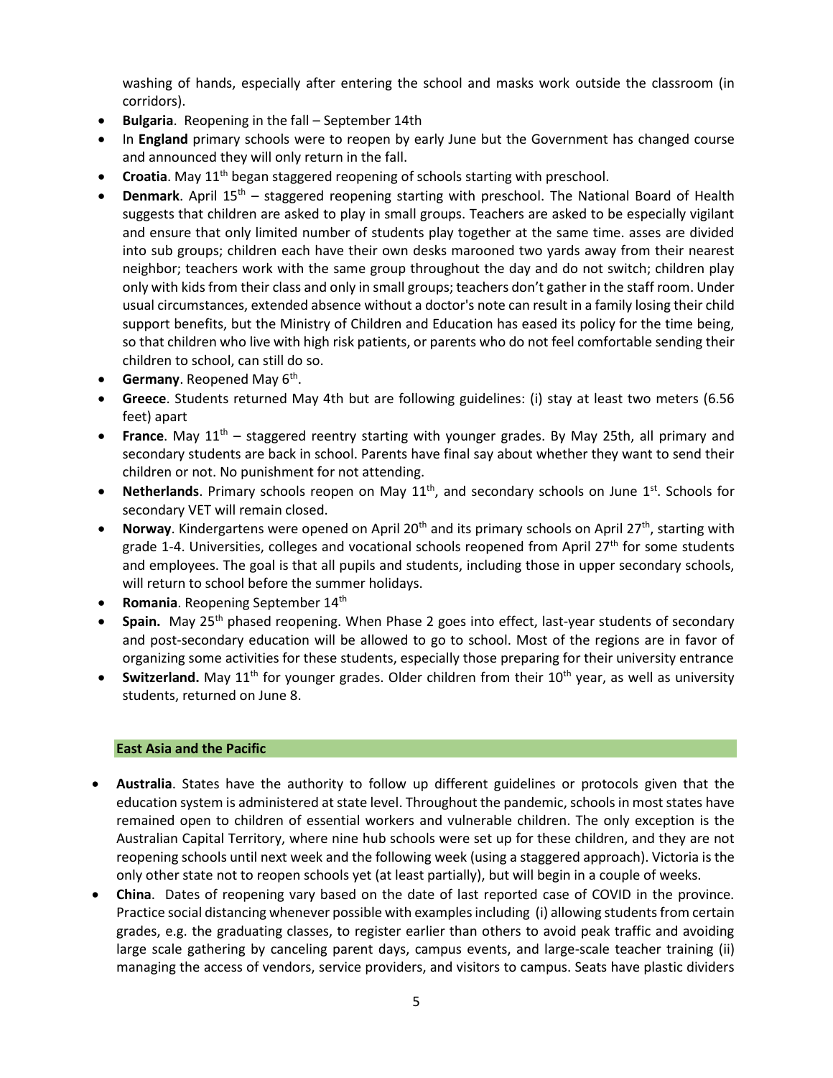washing of hands, especially after entering the school and masks work outside the classroom (in corridors).

- **Bulgaria**. Reopening in the fall September 14th
- In **England** primary schools were to reopen by early June but the Government has changed course and announced they will only return in the fall.
- **Croatia**. May 11<sup>th</sup> began staggered reopening of schools starting with preschool.
- **Denmark**. April 15<sup>th</sup> staggered reopening starting with preschool. The National Board of Health suggests that children are asked to play in small groups. Teachers are asked to be especially vigilant and ensure that only limited number of students play together at the same time. asses are divided into sub groups; children each have their own desks marooned two yards away from their nearest neighbor; teachers work with the same group throughout the day and do not switch; children play only with kids from their class and only in small groups; teachers don't gather in the staff room. Under usual circumstances, extended absence without a doctor's note can result in a family losing their child support benefits, but the Ministry of Children and Education has eased its policy for the time being, so that children who live with high risk patients, or parents who do not feel comfortable sending their children to school, can still do so.
- **Germany**. Reopened May 6<sup>th</sup>.
- **Greece**. Students returned May 4th but are following guidelines: (i) stay at least two meters (6.56 feet) apart
- **France**. May 11th staggered reentry starting with younger grades. By May 25th, all primary and secondary students are back in school. Parents have final say about whether they want to send their children or not. No punishment for not attending.
- Netherlands. Primary schools reopen on May 11<sup>th</sup>, and secondary schools on June 1<sup>st</sup>. Schools for secondary VET will remain closed.
- Norway. Kindergartens were opened on April 20<sup>th</sup> and its primary schools on April 27<sup>th</sup>, starting with grade 1-4. Universities, colleges and vocational schools reopened from April  $27<sup>th</sup>$  for some students and employees. The goal is that all pupils and students, including those in upper secondary schools, will return to school before the summer holidays.
- **Romania**. Reopening September 14th
- Spain. May 25<sup>th</sup> phased reopening. When Phase 2 goes into effect, last-year students of secondary and post-secondary education will be allowed to go to school. Most of the regions are in favor of organizing some activities for these students, especially those preparing for their university entrance
- **Switzerland.** May 11<sup>th</sup> for younger grades. Older children from their 10<sup>th</sup> year, as well as university students, returned on June 8.

### **East Asia and the Pacific**

- **Australia**. States have the authority to follow up different guidelines or protocols given that the education system is administered at state level. Throughout the pandemic, schools in most states have remained open to children of essential workers and vulnerable children. The only exception is the Australian Capital Territory, where nine hub schools were set up for these children, and they are not reopening schools until next week and the following week (using a staggered approach). Victoria is the only other state not to reopen schools yet (at least partially), but will begin in a couple of weeks.
- **China**. Dates of reopening vary based on the date of last reported case of COVID in the province. Practice social distancing whenever possible with examples including (i) allowing students from certain grades, e.g. the graduating classes, to register earlier than others to avoid peak traffic and avoiding large scale gathering by canceling parent days, campus events, and large-scale teacher training (ii) managing the access of vendors, service providers, and visitors to campus. Seats have plastic dividers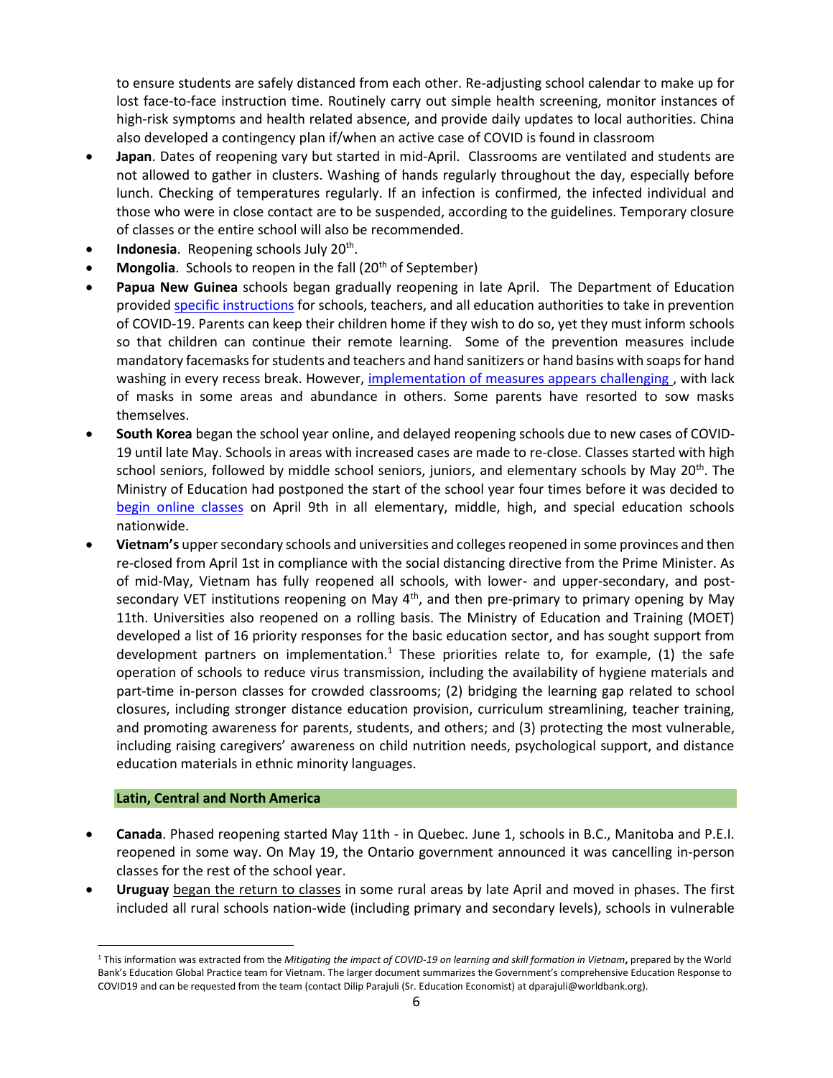to ensure students are safely distanced from each other. Re-adjusting school calendar to make up for lost face-to-face instruction time. Routinely carry out simple health screening, monitor instances of high-risk symptoms and health related absence, and provide daily updates to local authorities. China also developed a contingency plan if/when an active case of COVID is found in classroom

- **Japan**. Dates of reopening vary but started in mid-April. Classrooms are ventilated and students are not allowed to gather in clusters. Washing of hands regularly throughout the day, especially before lunch. Checking of temperatures regularly. If an infection is confirmed, the infected individual and those who were in close contact are to be suspended, according to the guidelines. Temporary closure of classes or the entire school will also be recommended.
- **Indonesia**. Reopening schools July 20<sup>th</sup>.
- **Mongolia**. Schools to reopen in the fall (20<sup>th</sup> of September)
- **Papua New Guinea** schools began gradually reopening in late April. The Department of Education provided [specific instructions](https://covid19.info.gov.pg/files/28042020/Secretary%20Circular%20Instruction%205%20of%202020.pdf.pdf) for schools, teachers, and all education authorities to take in prevention of COVID-19. Parents can keep their children home if they wish to do so, yet they must inform schools so that children can continue their remote learning. Some of the prevention measures include mandatory facemasks for students and teachers and hand sanitizers or hand basins with soaps for hand washing in every recess break. However, implementation of measures appears challenging, with lack of masks in some areas and abundance in others. Some parents have resorted to sow masks themselves.
- **South Korea** began the school year online, and delayed reopening schools due to new cases of COVID-19 until late May. Schools in areas with increased cases are made to re-close. Classes started with high school seniors, followed by middle school seniors, juniors, and elementary schools by May 20<sup>th</sup>. The Ministry of Education had postponed the start of the school year four times before it was decided to [begin online classes](https://www.moe.go.kr/boardCnts/view.do?boardID=294&boardSeq=80160&lev=0&searchType=null&statusYN=W&page=1&s=moe&m=020402&opType=N) on April 9th in all elementary, middle, high, and special education schools nationwide.
- **Vietnam's** upper secondary schools and universities and colleges reopened in some provinces and then re-closed from April 1st in compliance with the social distancing directive from the Prime Minister. As of mid-May, Vietnam has fully reopened all schools, with lower- and upper-secondary, and postsecondary VET institutions reopening on May 4<sup>th</sup>, and then pre-primary to primary opening by May 11th. Universities also reopened on a rolling basis. The Ministry of Education and Training (MOET) developed a list of 16 priority responses for the basic education sector, and has sought support from development partners on implementation.<sup>1</sup> These priorities relate to, for example, (1) the safe operation of schools to reduce virus transmission, including the availability of hygiene materials and part-time in-person classes for crowded classrooms; (2) bridging the learning gap related to school closures, including stronger distance education provision, curriculum streamlining, teacher training, and promoting awareness for parents, students, and others; and (3) protecting the most vulnerable, including raising caregivers' awareness on child nutrition needs, psychological support, and distance education materials in ethnic minority languages.

#### **Latin, Central and North America**

- **Canada**. Phased reopening started May 11th in Quebec. June 1, schools in B.C., Manitoba and P.E.I. reopened in some way. On May 19, the Ontario government announced it was cancelling in-person classes for the rest of the school year.
- **Uruguay** [began the return to classes](https://cnnespanol.cnn.com/video/escuelas-uruguay-normalidad-apertura-clases-adaptacion-perspectivas-buenos-aires-pkg-dario-klein/) in some rural areas by late April and moved in phases. The first included all rural schools nation-wide (including primary and secondary levels), schools in vulnerable

<sup>1</sup> This information was extracted from the *Mitigating the impact of COVID-19 on learning and skill formation in Vietnam***,** prepared by the World Bank's Education Global Practice team for Vietnam. The larger document summarizes the Government's comprehensive Education Response to COVID19 and can be requested from the team (contact Dilip Parajuli (Sr. Education Economist) at dparajuli@worldbank.org).